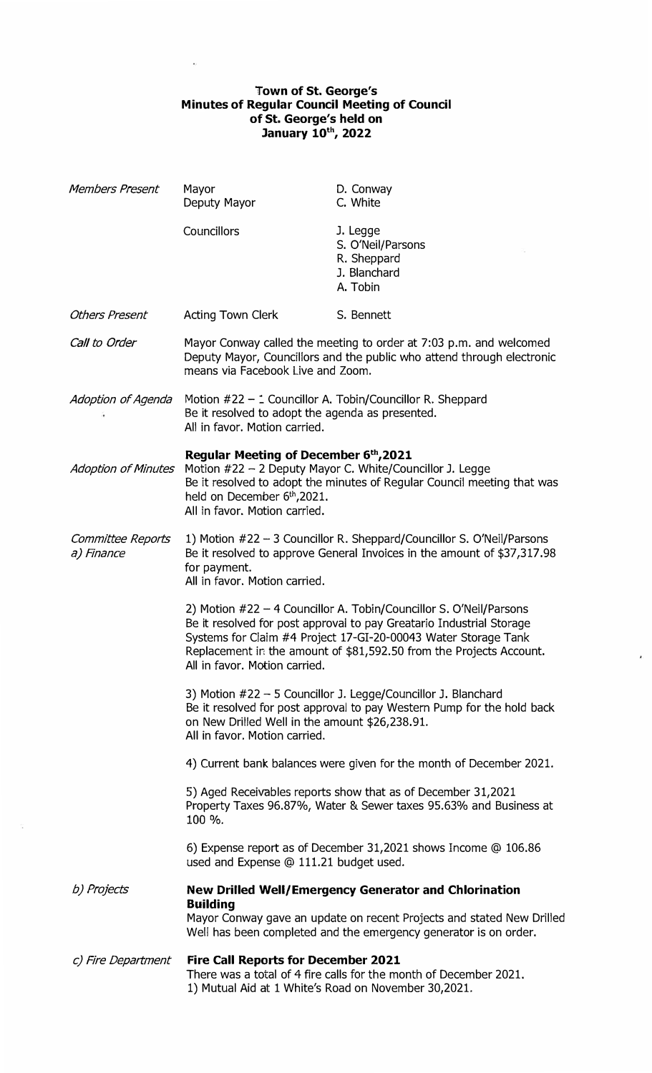## **Town of St. George's Minutes of Regular Council Meeting of Council of St. George's held on January 10th , 2022**

| Members Present                 | Mayor<br>Deputy Mayor                                                                                                                                                                             | D. Conway<br>C. White                                                                                                                                                                                                                                                               |
|---------------------------------|---------------------------------------------------------------------------------------------------------------------------------------------------------------------------------------------------|-------------------------------------------------------------------------------------------------------------------------------------------------------------------------------------------------------------------------------------------------------------------------------------|
|                                 | Councillors                                                                                                                                                                                       | J. Legge<br>S. O'Neil/Parsons<br>R. Sheppard<br>J. Blanchard<br>A. Tobin                                                                                                                                                                                                            |
| <b>Others Present</b>           | <b>Acting Town Clerk</b>                                                                                                                                                                          | S. Bennett                                                                                                                                                                                                                                                                          |
| Call to Order                   | means via Facebook Live and Zoom.                                                                                                                                                                 | Mayor Conway called the meeting to order at 7:03 p.m. and welcomed<br>Deputy Mayor, Councillors and the public who attend through electronic                                                                                                                                        |
| Adoption of Agenda              | Be it resolved to adopt the agenda as presented.<br>All in favor. Motion carried.                                                                                                                 | Motion #22 - : Councillor A. Tobin/Councillor R. Sheppard                                                                                                                                                                                                                           |
| <b>Adoption of Minutes</b>      | Regular Meeting of December 6th, 2021<br>held on December 6 <sup>th</sup> , 2021.<br>All in favor. Motion carried.                                                                                | Motion #22 - 2 Deputy Mayor C. White/Councillor J. Legge<br>Be it resolved to adopt the minutes of Regular Council meeting that was                                                                                                                                                 |
| Committee Reports<br>a) Finance | 1) Motion #22 - 3 Councillor R. Sheppard/Councillor S. O'Neil/Parsons<br>Be it resolved to approve General Invoices in the amount of \$37,317.98<br>for payment.<br>All in favor. Motion carried. |                                                                                                                                                                                                                                                                                     |
|                                 | All in favor. Motion carried.                                                                                                                                                                     | 2) Motion #22 - 4 Councillor A. Tobin/Councillor S. O'Neil/Parsons<br>Be it resolved for post approval to pay Greatario Industrial Storage<br>Systems for Claim #4 Project 17-GI-20-00043 Water Storage Tank<br>Replacement in the amount of \$81,592.50 from the Projects Account. |
|                                 | on New Drilled Well in the amount \$26,238.91.<br>All in favor. Motion carried.                                                                                                                   | 3) Motion #22 - 5 Councillor J. Legge/Councillor J. Blanchard<br>Be it resolved for post approval to pay Western Pump for the hold back                                                                                                                                             |
|                                 |                                                                                                                                                                                                   | 4) Current bank balances were given for the month of December 2021.                                                                                                                                                                                                                 |
|                                 | 100 %.                                                                                                                                                                                            | 5) Aged Receivables reports show that as of December 31,2021<br>Property Taxes 96.87%, Water & Sewer taxes 95.63% and Business at                                                                                                                                                   |
|                                 | used and Expense @ 111.21 budget used.                                                                                                                                                            | 6) Expense report as of December 31,2021 shows Income @ 106.86                                                                                                                                                                                                                      |
| b) Projects                     | <b>New Drilled Well/Emergency Generator and Chlorination</b><br><b>Building</b>                                                                                                                   |                                                                                                                                                                                                                                                                                     |
|                                 |                                                                                                                                                                                                   | Mayor Conway gave an update on recent Projects and stated New Drilled<br>Well has been completed and the emergency generator is on order.                                                                                                                                           |
| c) Fire Department              | <b>Fire Call Reports for December 2021</b><br>1) Mutual Aid at 1 White's Road on November 30,2021.                                                                                                | There was a total of 4 fire calls for the month of December 2021.                                                                                                                                                                                                                   |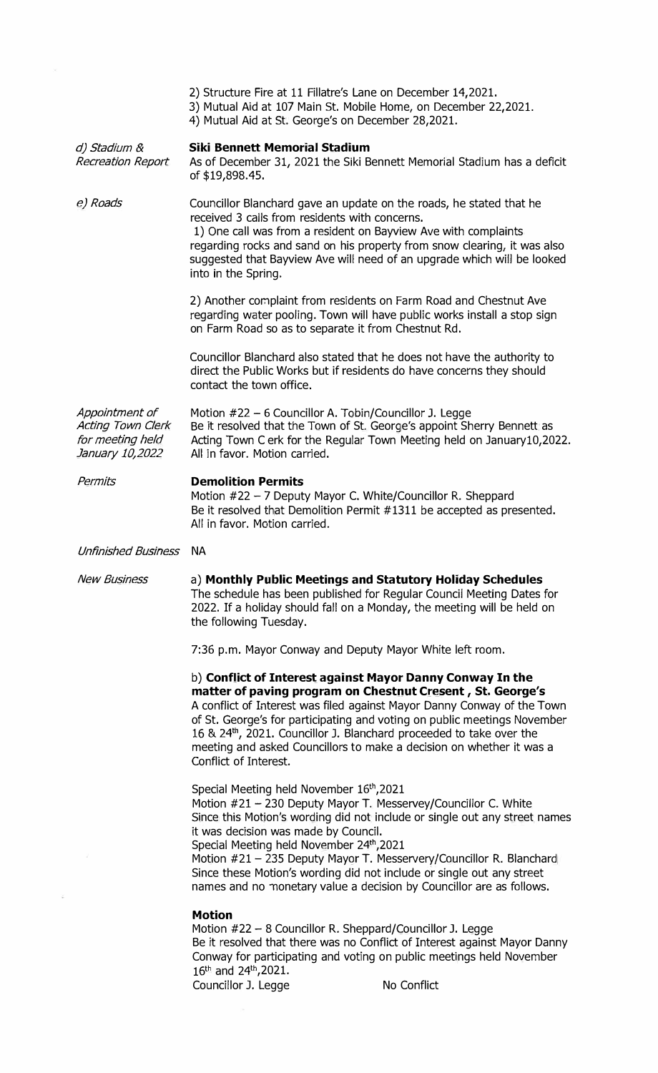| 2) Structure Fire at 11 Fillatre's Lane on December 14,2021. |  |  |
|--------------------------------------------------------------|--|--|
|--------------------------------------------------------------|--|--|

- 3) Mutual Aid at 107 Main St. Mobile Home, on December 22,2021.
- 4) Mutual Aid at St. George's on December 28,2021.

| d) Stadium &<br><b>Recreation Report</b>                                   | <b>Siki Bennett Memorial Stadium</b><br>As of December 31, 2021 the Siki Bennett Memorial Stadium has a deficit<br>of \$19,898.45.                                                                                                                                                                                                                                                                                                                                                                   |
|----------------------------------------------------------------------------|------------------------------------------------------------------------------------------------------------------------------------------------------------------------------------------------------------------------------------------------------------------------------------------------------------------------------------------------------------------------------------------------------------------------------------------------------------------------------------------------------|
| e) Roads                                                                   | Councillor Blanchard gave an update on the roads, he stated that he<br>received 3 calls from residents with concerns.<br>1) One call was from a resident on Bayview Ave with complaints<br>regarding rocks and sand on his property from snow clearing, it was also<br>suggested that Bayview Ave will need of an upgrade which will be looked<br>into in the Spring.                                                                                                                                |
|                                                                            | 2) Another complaint from residents on Farm Road and Chestnut Ave<br>regarding water pooling. Town will have public works install a stop sign<br>on Farm Road so as to separate it from Chestnut Rd.                                                                                                                                                                                                                                                                                                 |
|                                                                            | Councillor Blanchard also stated that he does not have the authority to<br>direct the Public Works but if residents do have concerns they should<br>contact the town office.                                                                                                                                                                                                                                                                                                                         |
| Appointment of<br>Acting Town Clerk<br>for meeting held<br>January 10,2022 | Motion #22 - 6 Councillor A. Tobin/Councillor J. Legge<br>Be it resolved that the Town of St. George's appoint Sherry Bennett as<br>Acting Town C erk for the Regular Town Meeting held on January10,2022.<br>All in favor. Motion carried.                                                                                                                                                                                                                                                          |
| Permits                                                                    | <b>Demolition Permits</b><br>Motion #22 - 7 Deputy Mayor C. White/Councillor R. Sheppard<br>Be it resolved that Demolition Permit #1311 be accepted as presented.<br>All in favor. Motion carried.                                                                                                                                                                                                                                                                                                   |
| Unfinished Business NA                                                     |                                                                                                                                                                                                                                                                                                                                                                                                                                                                                                      |
| <b>New Business</b>                                                        | a) Monthly Public Meetings and Statutory Holiday Schedules<br>The schedule has been published for Regular Council Meeting Dates for<br>2022. If a holiday should fall on a Monday, the meeting will be held on<br>the following Tuesday.                                                                                                                                                                                                                                                             |
|                                                                            |                                                                                                                                                                                                                                                                                                                                                                                                                                                                                                      |
|                                                                            | 7:36 p.m. Mayor Conway and Deputy Mayor White left room.                                                                                                                                                                                                                                                                                                                                                                                                                                             |
|                                                                            | b) Conflict of Interest against Mayor Danny Conway In the<br>matter of paving program on Chestnut Cresent, St. George's<br>A conflict of Interest was filed against Mayor Danny Conway of the Town<br>of St. George's for participating and voting on public meetings November<br>16 & 24th, 2021. Councillor J. Blanchard proceeded to take over the<br>meeting and asked Councillors to make a decision on whether it was a<br>Conflict of Interest.                                               |
|                                                                            | Special Meeting held November 16th, 2021<br>Motion #21 - 230 Deputy Mayor T. Messervey/Councillor C. White<br>Since this Motion's wording did not include or single out any street names<br>it was decision was made by Council.<br>Special Meeting held November 24th, 2021<br>Motion #21 - 235 Deputy Mayor T. Messervery/Councillor R. Blanchard<br>Since these Motion's wording did not include or single out any street<br>names and no monetary value a decision by Councillor are as follows. |

 $\widetilde{\mathcal{L}}$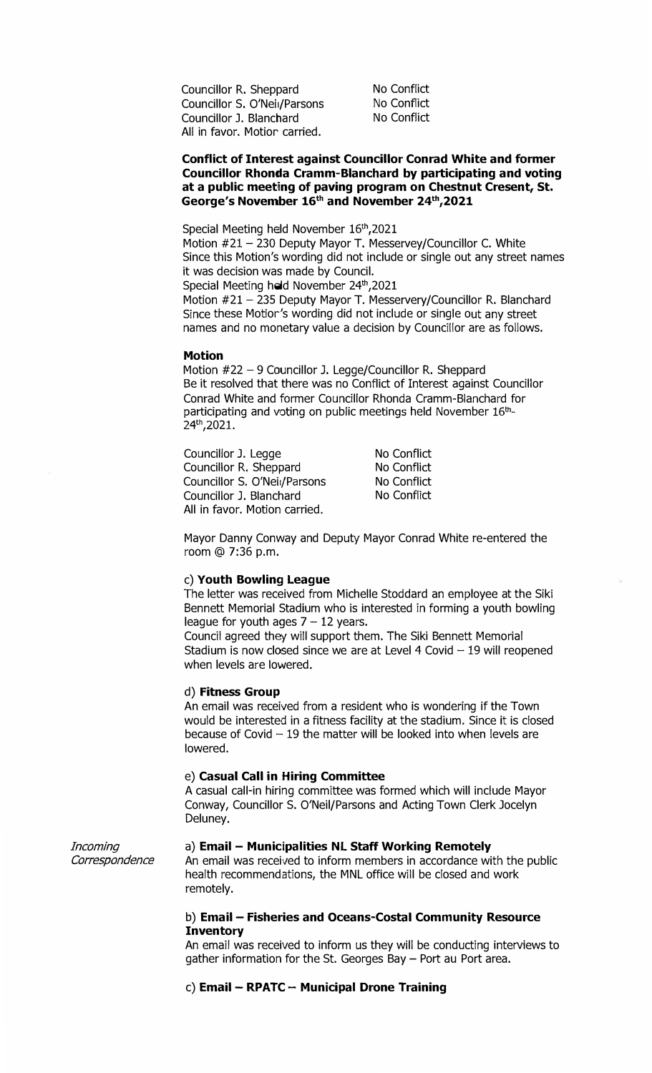Councillor R. Sheppard Councillor S. O'Nei1/Parsons Councillor J. Blanchard All in favor. Motior carried.

No Conflict No Conflict No Conflict

## **Conflict of Interest against Councillor Conrad White and former Councillor Rhonda Cramm-Blanchard by participating and voting at a public meeting of paving program on Chestnut Cresent, St.**  George's November 16<sup>th</sup> and November 24<sup>th</sup>, 2021

Special Meeting held November 16th, 2021

Motion #21 - 230 Deputy Mayor T. Messervey/Councillor C. White Since this Motion's wording did not include or single out any street names it was decision was made by Council.

Special Meeting held November 24<sup>th</sup>,2021

Motion #21 - 235 Deputy Mayor T. Messervery/Councillor R. Blanchard Since these Motior's wording did not include or single out any street names and no monetary value a decision by Councillor are as follows.

#### **Motion**

Motion #22 - 9 Councillor J. Legge/Councillor R. Sheppard Be it resolved that there was no Conflict of Interest against Councillor Conrad White and former Councillor Rhonda Cramm-Blanchard for participating and voting on public meetings held November 16th. 24th,2021.

Councillor J. Legge Councillor R. Sheppard Councillor S. O'Nei / Parsons Councillor J. Blanchard All in favor. Motion carried.

No Conflict No Conflict No Conflict No Conflict

Mayor Danny Conway and Deputy Mayor Conrad White re-entered the room @ 7:36 p.m.

### **c) Youth Bowling League**

The letter was received from Michelle Stoddard an employee at the Siki Bennett Memorial Stadium who is interested in forming a youth bowling league for youth ages  $7 - 12$  years.

Council agreed they will support them. The Siki Bennett Memorial Stadium is now closed since we are at Level  $4$  Covid  $-19$  will reopened when levels are lowered.

### d) **Fitness Group**

An email was received from a resident who is wondering if the Town would be interested in a fitness facility at the stadium. Since it is closed because of Covid  $-19$  the matter will be looked into when levels are lowered.

## e) **Casual Call in Hiring Committee**

A casual call-in hiring committee was formed which will include Mayor Conway, Councillor S. O'Neil/Parsons and Acting Town Clerk Jocelyn Deluney.

*Incoming Correspondence* 

### a) **Email - Municipalities NL Staff Working Remotely**

An email was received to inform members in accordance with the public health recommendations, the MNL office will be closed and work remotely.

# **b) Email - Fisheries and Oceans-Costa! Community Resource Inventory**

An email was received to inform us they will be conducting interviews to gather information for the St. Georges Bay - Port au Port area.

## **c) Email - RPATC - Municipal Drone Training**